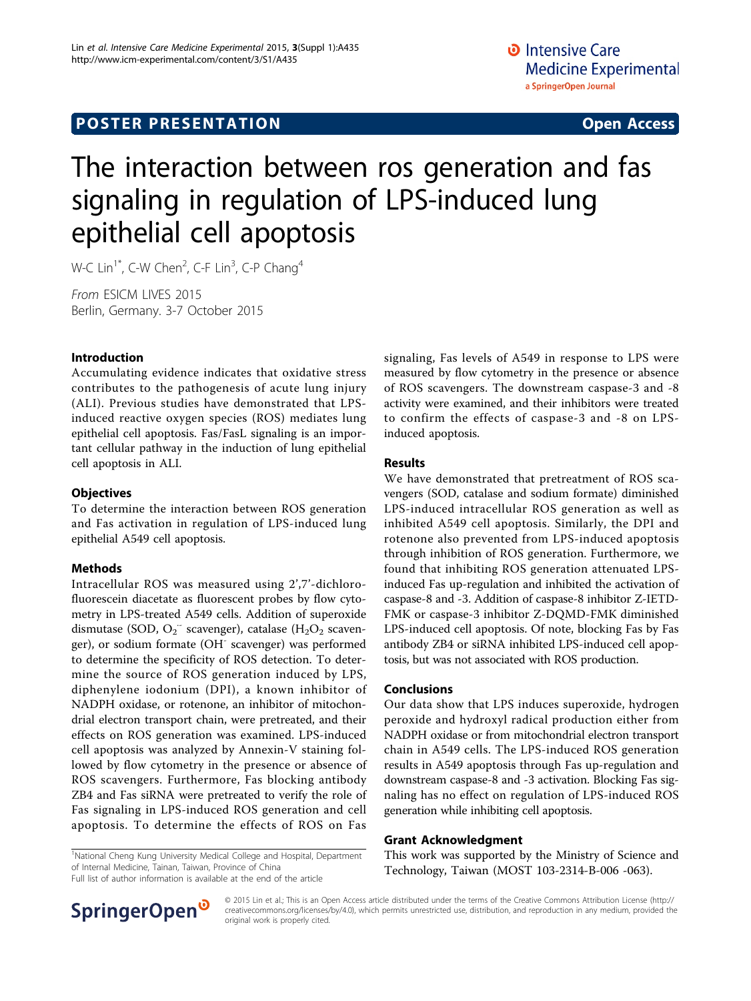# **POSTER PRESENTATION CONSUMING ACCESS**

# The interaction between ros generation and fas signaling in regulation of LPS-induced lung epithelial cell apoptosis

W-C Lin<sup>1\*</sup>, C-W Chen<sup>2</sup>, C-F Lin<sup>3</sup>, C-P Chang<sup>4</sup>

From ESICM LIVES 2015 Berlin, Germany. 3-7 October 2015

## Introduction

Accumulating evidence indicates that oxidative stress contributes to the pathogenesis of acute lung injury (ALI). Previous studies have demonstrated that LPSinduced reactive oxygen species (ROS) mediates lung epithelial cell apoptosis. Fas/FasL signaling is an important cellular pathway in the induction of lung epithelial cell apoptosis in ALI.

## **Objectives**

To determine the interaction between ROS generation and Fas activation in regulation of LPS-induced lung epithelial A549 cell apoptosis.

#### Methods

Intracellular ROS was measured using 2',7'-dichlorofluorescein diacetate as fluorescent probes by flow cytometry in LPS-treated A549 cells. Addition of superoxide dismutase (SOD,  $O_2$ <sup>-</sup> scavenger), catalase (H<sub>2</sub>O<sub>2</sub> scavenger), or sodium formate (OH<sup>-</sup> scavenger) was performed to determine the specificity of ROS detection. To determine the source of ROS generation induced by LPS, diphenylene iodonium (DPI), a known inhibitor of NADPH oxidase, or rotenone, an inhibitor of mitochondrial electron transport chain, were pretreated, and their effects on ROS generation was examined. LPS-induced cell apoptosis was analyzed by Annexin-V staining followed by flow cytometry in the presence or absence of ROS scavengers. Furthermore, Fas blocking antibody ZB4 and Fas siRNA were pretreated to verify the role of Fas signaling in LPS-induced ROS generation and cell apoptosis. To determine the effects of ROS on Fas

signaling, Fas levels of A549 in response to LPS were measured by flow cytometry in the presence or absence of ROS scavengers. The downstream caspase-3 and -8 activity were examined, and their inhibitors were treated to confirm the effects of caspase-3 and -8 on LPSinduced apoptosis.

#### Results

We have demonstrated that pretreatment of ROS scavengers (SOD, catalase and sodium formate) diminished LPS-induced intracellular ROS generation as well as inhibited A549 cell apoptosis. Similarly, the DPI and rotenone also prevented from LPS-induced apoptosis through inhibition of ROS generation. Furthermore, we found that inhibiting ROS generation attenuated LPSinduced Fas up-regulation and inhibited the activation of caspase-8 and -3. Addition of caspase-8 inhibitor Z-IETD-FMK or caspase-3 inhibitor Z-DQMD-FMK diminished LPS-induced cell apoptosis. Of note, blocking Fas by Fas antibody ZB4 or siRNA inhibited LPS-induced cell apoptosis, but was not associated with ROS production.

#### Conclusions

Our data show that LPS induces superoxide, hydrogen peroxide and hydroxyl radical production either from NADPH oxidase or from mitochondrial electron transport chain in A549 cells. The LPS-induced ROS generation results in A549 apoptosis through Fas up-regulation and downstream caspase-8 and -3 activation. Blocking Fas signaling has no effect on regulation of LPS-induced ROS generation while inhibiting cell apoptosis.

#### Grant Acknowledgment

This work was supported by the Ministry of Science and Technology, Taiwan (MOST 103-2314-B-006 -063).

<sup>1</sup>National Cheng Kung University Medical College and Hospital, Department of Internal Medicine, Tainan, Taiwan, Province of China

Full list of author information is available at the end of the article



© 2015 Lin et al.; This is an Open Access article distributed under the terms of the Creative Commons Attribution License ([http://](http://creativecommons.org/licenses/by/4.0) [creativecommons.org/licenses/by/4.0](http://creativecommons.org/licenses/by/4.0)), which permits unrestricted use, distribution, and reproduction in any medium, provided the original work is properly cited.